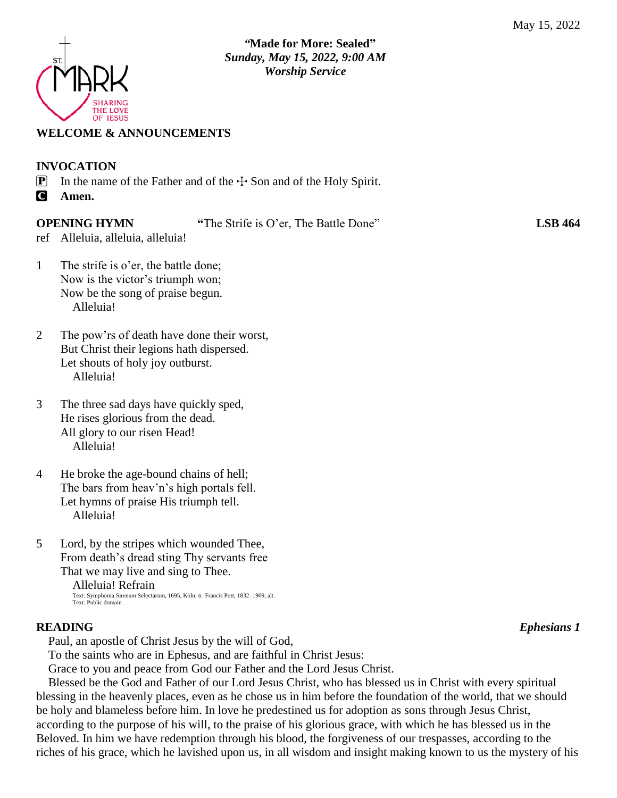

# **WELCOME & ANNOUNCEMENTS**

# **INVOCATION P** In the name of the Father and of the  $\div$  Son and of the Holy Spirit. C **Amen.**

**OPENING HYMN "**The Strife is O'er, The Battle Done" **LSB 464**

ref Alleluia, alleluia, alleluia!

- 1 The strife is o'er, the battle done; Now is the victor's triumph won; Now be the song of praise begun. Alleluia!
- 2 The pow'rs of death have done their worst, But Christ their legions hath dispersed. Let shouts of holy joy outburst. Alleluia!
- 3 The three sad days have quickly sped, He rises glorious from the dead. All glory to our risen Head! Alleluia!
- 4 He broke the age-bound chains of hell; The bars from heav'n's high portals fell. Let hymns of praise His triumph tell. Alleluia!
- 5 Lord, by the stripes which wounded Thee, From death's dread sting Thy servants free That we may live and sing to Thee.

 Alleluia! Refrain Text: Symphonia Sirenum Selectarum, 1695, Köln; tr. Francis Pott, 1832–1909, alt. Text: Public domain

# **READING** *Ephesians 1*

Paul, an apostle of Christ Jesus by the will of God,

To the saints who are in Ephesus, and are faithful in Christ Jesus:

Grace to you and peace from God our Father and the Lord Jesus Christ.

Blessed be the God and Father of our Lord Jesus Christ, who has blessed us in Christ with every spiritual blessing in the heavenly places, even as he chose us in him before the foundation of the world, that we should be holy and blameless before him. In love he predestined us for adoption as sons through Jesus Christ, according to the purpose of his will, to the praise of his glorious grace, with which he has blessed us in the Beloved. In him we have redemption through his blood, the forgiveness of our trespasses, according to the riches of his grace, which he lavished upon us, in all wisdom and insight making known to us the mystery of his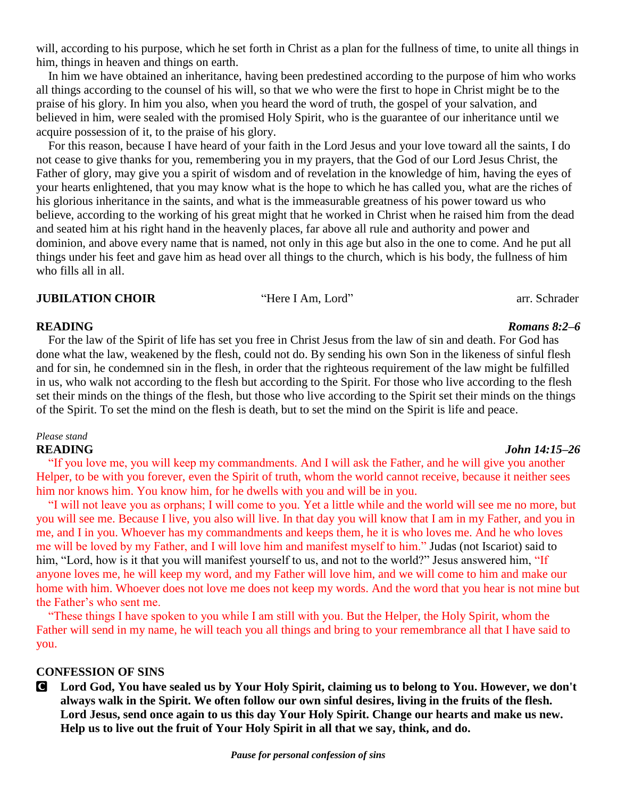will, according to his purpose, which he set forth in Christ as a plan for the fullness of time, to unite all things in him, things in heaven and things on earth.

In him we have obtained an inheritance, having been predestined according to the purpose of him who works all things according to the counsel of his will, so that we who were the first to hope in Christ might be to the praise of his glory. In him you also, when you heard the word of truth, the gospel of your salvation, and believed in him, were sealed with the promised Holy Spirit, who is the guarantee of our inheritance until we acquire possession of it, to the praise of his glory.

For this reason, because I have heard of your faith in the Lord Jesus and your love toward all the saints, I do not cease to give thanks for you, remembering you in my prayers, that the God of our Lord Jesus Christ, the Father of glory, may give you a spirit of wisdom and of revelation in the knowledge of him, having the eyes of your hearts enlightened, that you may know what is the hope to which he has called you, what are the riches of his glorious inheritance in the saints, and what is the immeasurable greatness of his power toward us who believe, according to the working of his great might that he worked in Christ when he raised him from the dead and seated him at his right hand in the heavenly places, far above all rule and authority and power and dominion, and above every name that is named, not only in this age but also in the one to come. And he put all things under his feet and gave him as head over all things to the church, which is his body, the fullness of him who fills all in all.

## **JUBILATION CHOIR** "Here I Am, Lord" arr. Schrader

For the law of the Spirit of life has set you free in Christ Jesus from the law of sin and death. For God has done what the law, weakened by the flesh, could not do. By sending his own Son in the likeness of sinful flesh and for sin, he condemned sin in the flesh, in order that the righteous requirement of the law might be fulfilled in us, who walk not according to the flesh but according to the Spirit. For those who live according to the flesh set their minds on the things of the flesh, but those who live according to the Spirit set their minds on the things of the Spirit. To set the mind on the flesh is death, but to set the mind on the Spirit is life and peace.

# *Please stand*

"If you love me, you will keep my commandments. And I will ask the Father, and he will give you another Helper, to be with you forever, even the Spirit of truth, whom the world cannot receive, because it neither sees him nor knows him. You know him, for he dwells with you and will be in you.

"I will not leave you as orphans; I will come to you. Yet a little while and the world will see me no more, but you will see me. Because I live, you also will live. In that day you will know that I am in my Father, and you in me, and I in you. Whoever has my commandments and keeps them, he it is who loves me. And he who loves me will be loved by my Father, and I will love him and manifest myself to him." Judas (not Iscariot) said to him, "Lord, how is it that you will manifest yourself to us, and not to the world?" Jesus answered him, "If anyone loves me, he will keep my word, and my Father will love him, and we will come to him and make our home with him. Whoever does not love me does not keep my words. And the word that you hear is not mine but the Father's who sent me.

"These things I have spoken to you while I am still with you. But the Helper, the Holy Spirit, whom the Father will send in my name, he will teach you all things and bring to your remembrance all that I have said to you.

## **CONFESSION OF SINS**

C **Lord God, You have sealed us by Your Holy Spirit, claiming us to belong to You. However, we don't always walk in the Spirit. We often follow our own sinful desires, living in the fruits of the flesh. Lord Jesus, send once again to us this day Your Holy Spirit. Change our hearts and make us new. Help us to live out the fruit of Your Holy Spirit in all that we say, think, and do.** 

# **READING** *John 14:15–26*

# **READING** *Romans 8:2–6*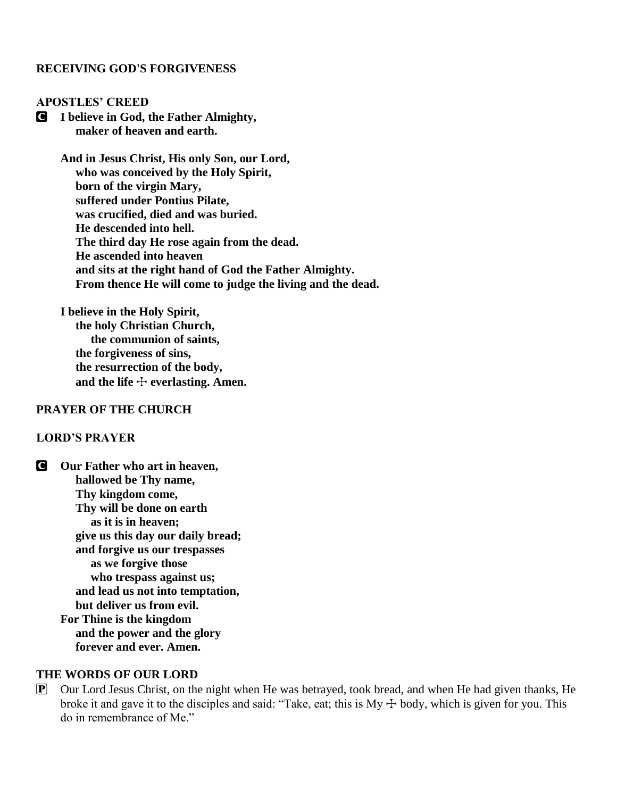### **RECEIVING GOD'S FORGIVENESS**

### **APOSTLES' CREED**

C **I believe in God, the Father Almighty, maker of heaven and earth.**

> **And in Jesus Christ, His only Son, our Lord, who was conceived by the Holy Spirit, born of the virgin Mary, suffered under Pontius Pilate, was crucified, died and was buried. He descended into hell. The third day He rose again from the dead. He ascended into heaven and sits at the right hand of God the Father Almighty. From thence He will come to judge the living and the dead.**

**I believe in the Holy Spirit, the holy Christian Church, the communion of saints, the forgiveness of sins, the resurrection of the body,** and the life  $\div$  everlasting. Amen.

### **PRAYER OF THE CHURCH**

## **LORD'S PRAYER**

C **Our Father who art in heaven, hallowed be Thy name, Thy kingdom come, Thy will be done on earth as it is in heaven; give us this day our daily bread; and forgive us our trespasses as we forgive those who trespass against us; and lead us not into temptation, but deliver us from evil. For Thine is the kingdom and the power and the glory forever and ever. Amen.**

### **THE WORDS OF OUR LORD**

 $\mathbf{P}$  Our Lord Jesus Christ, on the night when He was betrayed, took bread, and when He had given thanks, He broke it and gave it to the disciples and said: "Take, eat; this is My  $+$  body, which is given for you. This do in remembrance of Me."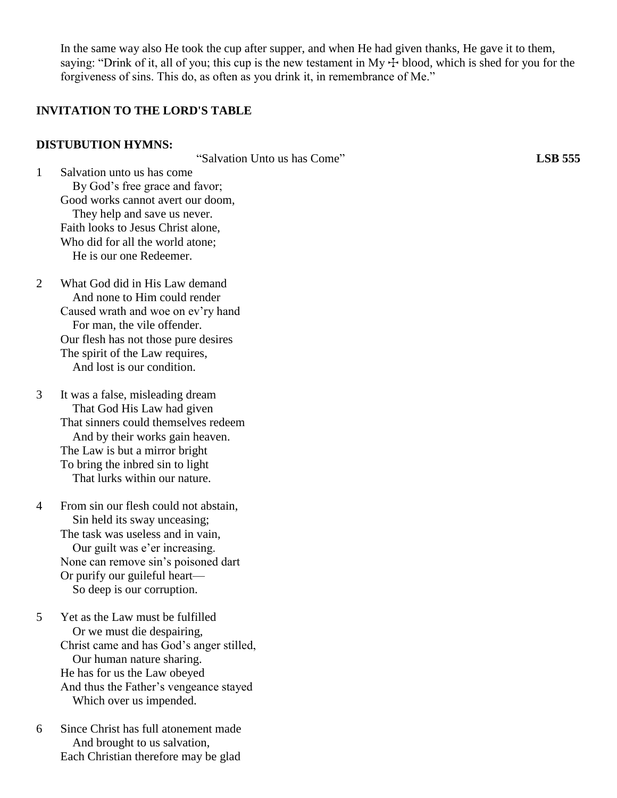In the same way also He took the cup after supper, and when He had given thanks, He gave it to them, saying: "Drink of it, all of you; this cup is the new testament in My  $\pm$  blood, which is shed for you for the forgiveness of sins. This do, as often as you drink it, in remembrance of Me."

# **INVITATION TO THE LORD'S TABLE**

#### **DISTUBUTION HYMNS:**

"Salvation Unto us has Come" **LSB 555**

1 Salvation unto us has come By God's free grace and favor; Good works cannot avert our doom, They help and save us never. Faith looks to Jesus Christ alone, Who did for all the world atone; He is our one Redeemer.

2 What God did in His Law demand And none to Him could render Caused wrath and woe on ev'ry hand For man, the vile offender. Our flesh has not those pure desires The spirit of the Law requires, And lost is our condition.

3 It was a false, misleading dream That God His Law had given That sinners could themselves redeem And by their works gain heaven. The Law is but a mirror bright To bring the inbred sin to light That lurks within our nature.

4 From sin our flesh could not abstain, Sin held its sway unceasing; The task was useless and in vain, Our guilt was e'er increasing. None can remove sin's poisoned dart Or purify our guileful heart— So deep is our corruption.

5 Yet as the Law must be fulfilled Or we must die despairing, Christ came and has God's anger stilled, Our human nature sharing. He has for us the Law obeyed And thus the Father's vengeance stayed Which over us impended.

6 Since Christ has full atonement made And brought to us salvation, Each Christian therefore may be glad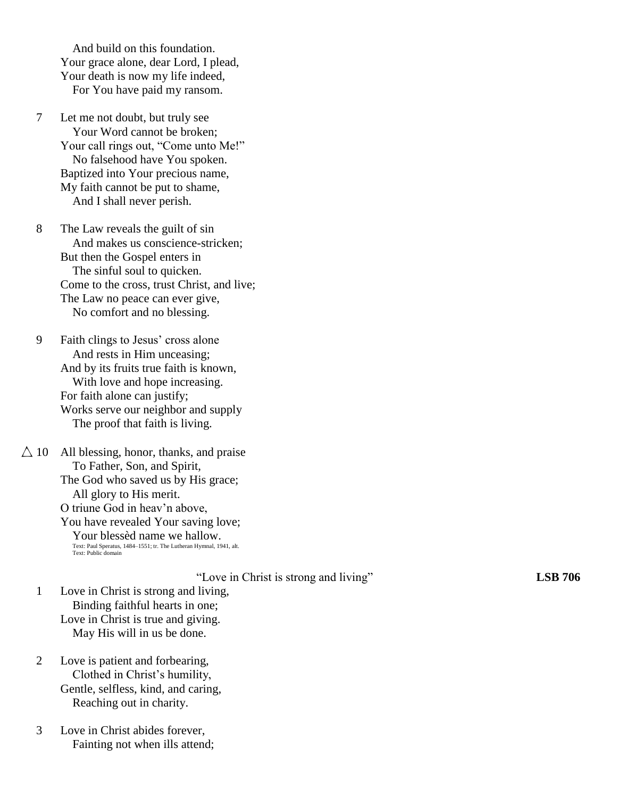And build on this foundation. Your grace alone, dear Lord, I plead, Your death is now my life indeed, For You have paid my ransom.

7 Let me not doubt, but truly see Your Word cannot be broken; Your call rings out, "Come unto Me!" No falsehood have You spoken. Baptized into Your precious name, My faith cannot be put to shame, And I shall never perish.

8 The Law reveals the guilt of sin And makes us conscience-stricken; But then the Gospel enters in The sinful soul to quicken. Come to the cross, trust Christ, and live; The Law no peace can ever give, No comfort and no blessing.

9 Faith clings to Jesus' cross alone And rests in Him unceasing; And by its fruits true faith is known, With love and hope increasing. For faith alone can justify; Works serve our neighbor and supply The proof that faith is living.

 $\triangle$  10 All blessing, honor, thanks, and praise To Father, Son, and Spirit, The God who saved us by His grace; All glory to His merit. O triune God in heav'n above, You have revealed Your saving love; Your blessèd name we hallow. Text: Paul Speratus, 1484–1551; tr. The Lutheran Hymnal, 1941, alt. Text: Public domain

"Love in Christ is strong and living" **LSB 706**

- 1 Love in Christ is strong and living, Binding faithful hearts in one; Love in Christ is true and giving. May His will in us be done.
- 2 Love is patient and forbearing, Clothed in Christ's humility, Gentle, selfless, kind, and caring, Reaching out in charity.
- 3 Love in Christ abides forever, Fainting not when ills attend;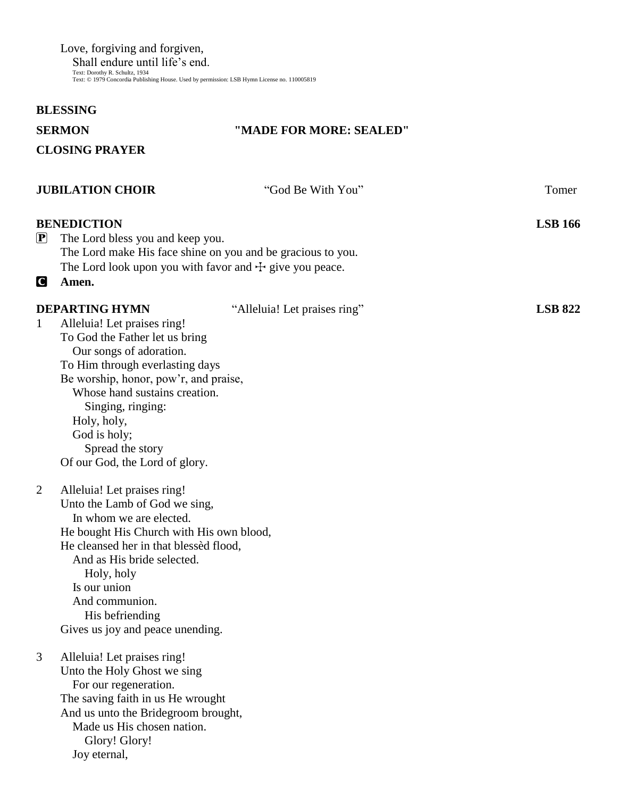Love, forgiving and forgiven, Shall endure until life's end.<br>Text: Dorothy R. Schultz, 1934<br>Text: © 1979 Concordia Publishing House. Used by permission: LSB Hymn License no. 110005819

# **BLESSING**

| D | חי<br>$\sqrt{}$ | Ю |  |
|---|-----------------|---|--|
|   |                 |   |  |

# **"MADE FOR MORE: SEALED"**

**CLOSING PRAYER** 

| <b>JUBILATION CHOIR</b>                                              |                                                                                                                                                                                                                                                                                  | "God Be With You"                                                                                                          | Tomer          |
|----------------------------------------------------------------------|----------------------------------------------------------------------------------------------------------------------------------------------------------------------------------------------------------------------------------------------------------------------------------|----------------------------------------------------------------------------------------------------------------------------|----------------|
| <b>BENEDICTION</b><br>$\left[\mathbf{P}\right]$                      | The Lord bless you and keep you.                                                                                                                                                                                                                                                 | The Lord make His face shine on you and be gracious to you.<br>The Lord look upon you with favor and $\pm$ give you peace. | <b>LSB 166</b> |
| Amen.<br>$\mathbf C$                                                 |                                                                                                                                                                                                                                                                                  |                                                                                                                            |                |
| <b>DEPARTING HYMN</b><br>$\mathbf{1}$<br>Holy, holy,<br>God is holy; | Alleluia! Let praises ring!<br>To God the Father let us bring<br>Our songs of adoration.<br>To Him through everlasting days<br>Be worship, honor, pow'r, and praise,<br>Whose hand sustains creation.<br>Singing, ringing:<br>Spread the story<br>Of our God, the Lord of glory. | "Alleluia! Let praises ring"                                                                                               | <b>LSB 822</b> |
| 2<br>Is our union                                                    | Alleluia! Let praises ring!<br>Unto the Lamb of God we sing,<br>In whom we are elected.<br>He bought His Church with His own blood,<br>He cleansed her in that blessed flood,<br>And as His bride selected.<br>Holy, holy<br>And communion.<br>His befriending                   |                                                                                                                            |                |
| 3<br>Joy eternal,                                                    | Gives us joy and peace unending.<br>Alleluia! Let praises ring!<br>Unto the Holy Ghost we sing<br>For our regeneration.<br>The saving faith in us He wrought<br>And us unto the Bridegroom brought,<br>Made us His chosen nation.<br>Glory! Glory!                               |                                                                                                                            |                |